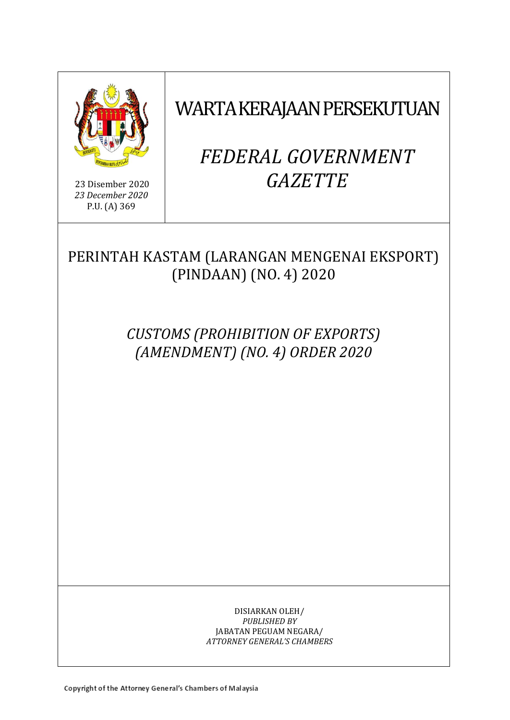

23 Disember 2020 *23 December 2020* P.U. (A) 369

# WARTA KERAJAAN PERSEKUTUAN

# *FEDERAL GOVERNMENT GAZETTE*

PERINTAH KASTAM (LARANGAN MENGENAI EKSPORT) (PINDAAN) (NO. 4) 2020

> *CUSTOMS (PROHIBITION OF EXPORTS) (AMENDMENT) (NO. 4) ORDER 2020*

> > DISIARKAN OLEH/ *PUBLISHED BY* JABATAN PEGUAM NEGARA/ *ATTORNEY GENERAL'S CHAMBERS*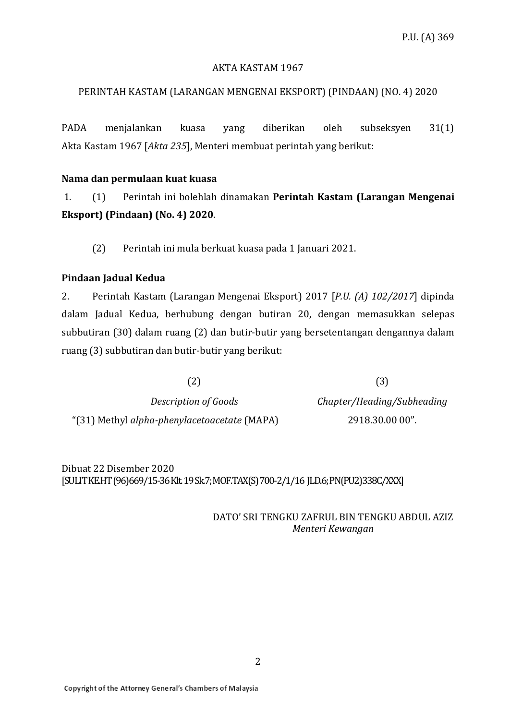### AKTA KASTAM 1967

# PERINTAH KASTAM (LARANGAN MENGENAI EKSPORT) (PINDAAN) (NO. 4) 2020

PADA menjalankan kuasa yang diberikan oleh subseksyen 31(1) Akta Kastam 1967 [*Akta 235*], Menteri membuat perintah yang berikut:

## **Nama dan permulaan kuat kuasa**

1. (1) Perintah ini bolehlah dinamakan **Perintah Kastam (Larangan Mengenai Eksport) (Pindaan) (No. 4) 2020**.

(2) Perintah ini mula berkuat kuasa pada 1 Januari 2021.

## **Pindaan Jadual Kedua**

2. Perintah Kastam (Larangan Mengenai Eksport) 2017 [*P.U. (A) 102/2017*] dipinda dalam Jadual Kedua, berhubung dengan butiran 20, dengan memasukkan selepas subbutiran (30) dalam ruang (2) dan butir-butir yang bersetentangan dengannya dalam ruang (3) subbutiran dan butir-butir yang berikut:

 $(2)$  (3)

*Description of Goods Chapter/Heading/Subheading* "(31) Methyl *alpha-phenylacetoacetate* (MAPA) 2918.30.00 00".

Dibuat 22 Disember 2020 [SULIT KE.HT(96)669/15-36Klt. 19 Sk.7; MOF.TAX(S) 700-2/1/16 JLD.6;PN(PU2)338C/XXX]

> DATO' SRI TENGKU ZAFRUL BIN TENGKU ABDUL AZIZ *Menteri Kewangan*